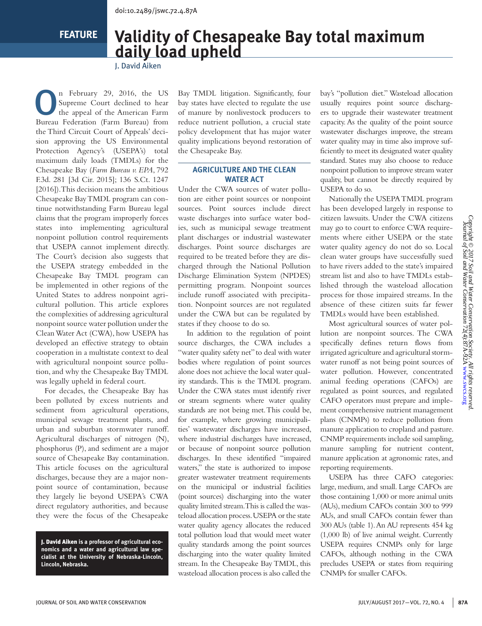**FEATURE**

# **Validity of Chesapeake Bay total maximum daily load upheld**

J. David Aiken

n February 29, 2016, the US<br>Supreme Court declined to hear<br>the appeal of the American Farm<br>Burgue February (Farm Burgue) from Supreme Court declined to hear the appeal of the American Farm Bureau Federation (Farm Bureau) from the Third Circuit Court of Appeals' decision approving the US Environmental Protection Agency's (USEPA's) total maximum daily loads (TMDLs) for the Chesapeake Bay (*Farm Bureau v. EPA*, 792 F.3d. 281 [3d Cir. 2015]; 136 S.Ct. 1247 [2016]). This decision means the ambitious Chesapeake Bay TMDL program can continue notwithstanding Farm Bureau legal claims that the program improperly forces states into implementing agricultural nonpoint pollution control requirements that USEPA cannot implement directly. The Court's decision also suggests that the USEPA strategy embedded in the Chesapeake Bay TMDL program can be implemented in other regions of the United States to address nonpoint agricultural pollution. This article explores the complexities of addressing agricultural nonpoint source water pollution under the Clean Water Act (CWA), how USEPA has developed an effective strategy to obtain cooperation in a multistate context to deal with agricultural nonpoint source pollution, and why the Chesapeake Bay TMDL was legally upheld in federal court.

For decades, the Chesapeake Bay has been polluted by excess nutrients and sediment from agricultural operations, municipal sewage treatment plants, and urban and suburban stormwater runoff. Agricultural discharges of nitrogen (N), phosphorus (P), and sediment are a major source of Chesapeake Bay contamination. This article focuses on the agricultural discharges, because they are a major nonpoint source of contamination, because they largely lie beyond USEPA's CWA direct regulatory authorities, and because they were the focus of the Chesapeake

J. David Aiken **is a professor of agricultural economics and a water and agricultural law specialist at the University of Nebraska-Lincoln, Lincoln, Nebraska.** 

Bay TMDL litigation. Significantly, four bay states have elected to regulate the use of manure by nonlivestock producers to reduce nutrient pollution, a crucial state policy development that has major water quality implications beyond restoration of the Chesapeake Bay.

### **AGRICULTURE AND THE CLEAN WATER ACT**

Under the CWA sources of water pollution are either point sources or nonpoint sources. Point sources include direct waste discharges into surface water bodies, such as municipal sewage treatment plant discharges or industrial wastewater discharges. Point source discharges are required to be treated before they are discharged through the National Pollution Discharge Elimination System (NPDES) permitting program. Nonpoint sources include runoff associated with precipitation. Nonpoint sources are not regulated under the CWA but can be regulated by states if they choose to do so.

In addition to the regulation of point source discharges, the CWA includes a "water quality safety net" to deal with water bodies where regulation of point sources alone does not achieve the local water quality standards. This is the TMDL program. Under the CWA states must identify river or stream segments where water quality standards are not being met. This could be, for example, where growing municipalities' wastewater discharges have increased, where industrial discharges have increased, or because of nonpoint source pollution discharges. In these identified "impaired waters," the state is authorized to impose greater wastewater treatment requirements on the municipal or industrial facilities (point sources) discharging into the water quality limited stream. This is called the wasteload allocation process. USEPA or the state water quality agency allocates the reduced total pollution load that would meet water quality standards among the point sources discharging into the water quality limited stream. In the Chesapeake Bay TMDL, this wasteload allocation process is also called the

bay's "pollution diet." Wasteload allocation usually requires point source dischargers to upgrade their wastewater treatment capacity. As the quality of the point source wastewater discharges improve, the stream water quality may in time also improve sufficiently to meet its designated water quality standard. States may also choose to reduce nonpoint pollution to improve stream water quality, but cannot be directly required by USEPA to do so.

Nationally the USEPA TMDL program has been developed largely in response to citizen lawsuits. Under the CWA citizens may go to court to enforce CWA requirements where either USEPA or the state water quality agency do not do so. Local clean water groups have successfully sued to have rivers added to the state's impaired stream list and also to have TMDLs established through the wasteload allocation process for those impaired streams. In the absence of these citizen suits far fewer TMDLs would have been established.

Most agricultural sources of water pollution are nonpoint sources. The CWA specifically defines return flows from irrigated agriculture and agricultural stormwater runoff as not being point sources of water pollution. However, concentrated animal feeding operations (CAFOs) are regulated as point sources, and regulated CAFO operators must prepare and implement comprehensive nutrient management plans (CNMPs) to reduce pollution from manure application to cropland and pasture. CNMP requirements include soil sampling, manure sampling for nutrient content, manure application at agronomic rates, and reporting requirements.

USEPA has three CAFO categories: large, medium, and small. Large CAFOs are those containing 1,000 or more animal units (AUs), medium CAFOs contain 300 to 999 AUs, and small CAFOs contain fewer than 300 AUs (table 1). An AU represents 454 kg (1,000 lb) of live animal weight. Currently USEPA requires CNMPs only for large CAFOs, although nothing in the CWA precludes USEPA or states from requiring CNMPs for smaller CAFOs.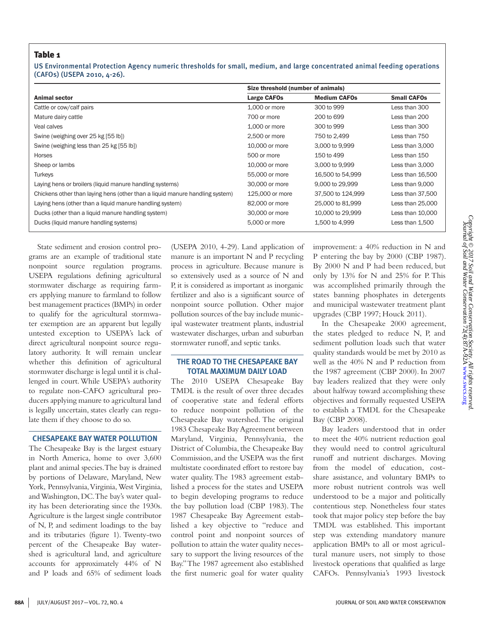## Table 1

US Environmental Protection Agency numeric thresholds for small, medium, and large concentrated animal feeding operations (CAFOs) (USEPA 2010, 4-26).

| <b>Animal sector</b>                                                         | Size threshold (number of animals) |                     |                    |
|------------------------------------------------------------------------------|------------------------------------|---------------------|--------------------|
|                                                                              | <b>Large CAFOs</b>                 | <b>Medium CAFOs</b> | <b>Small CAFOs</b> |
| Cattle or cow/calf pairs                                                     | 1,000 or more                      | 300 to 999          | Less than 300      |
| Mature dairy cattle                                                          | 700 or more                        | 200 to 699          | Less than 200      |
| Veal calves                                                                  | 1,000 or more                      | 300 to 999          | Less than 300      |
| Swine (weighing over 25 kg [55 lb])                                          | 2,500 or more                      | 750 to 2,499        | Less than 750      |
| Swine (weighing less than 25 kg [55 lb])                                     | 10,000 or more                     | 3,000 to 9,999      | Less than 3,000    |
| Horses                                                                       | 500 or more                        | 150 to 499          | Less than 150      |
| Sheep or lambs                                                               | 10,000 or more                     | 3,000 to 9,999      | Less than 3,000    |
| <b>Turkeys</b>                                                               | 55,000 or more                     | 16,500 to 54,999    | Less than 16,500   |
| Laying hens or broilers (liquid manure handling systems)                     | 30,000 or more                     | 9,000 to 29,999     | Less than 9,000    |
| Chickens other than laying hens (other than a liquid manure handling system) | 125,000 or more                    | 37,500 to 124,999   | Less than 37,500   |
| Laying hens (other than a liquid manure handling system)                     | 82,000 or more                     | 25,000 to 81,999    | Less than 25,000   |
| Ducks (other than a liquid manure handling system)                           | 30,000 or more                     | 10,000 to 29,999    | Less than 10,000   |
| Ducks (liquid manure handling systems)                                       | 5,000 or more                      | 1,500 to 4,999      | Less than 1,500    |

State sediment and erosion control programs are an example of traditional state nonpoint source regulation programs. USEPA regulations defining agricultural stormwater discharge as requiring farmers applying manure to farmland to follow best management practices (BMPs) in order to qualify for the agricultural stormwater exemption are an apparent but legally untested exception to USEPA's lack of direct agricultural nonpoint source regulatory authority. It will remain unclear whether this definition of agricultural stormwater discharge is legal until it is challenged in court. While USEPA's authority to regulate non-CAFO agricultural producers applying manure to agricultural land is legally uncertain, states clearly can regulate them if they choose to do so.

#### **CHESAPEAKE BAY WATER POLLUTION**

The Chesapeake Bay is the largest estuary in North America, home to over 3,600 plant and animal species. The bay is drained by portions of Delaware, Maryland, New York, Pennsylvania, Virginia, West Virginia, and Washington, DC. The bay's water quality has been deteriorating since the 1930s. Agriculture is the largest single contributor of N, P, and sediment loadings to the bay and its tributaries (figure 1). Twenty-two percent of the Chesapeake Bay watershed is agricultural land, and agriculture accounts for approximately 44% of N and P loads and 65% of sediment loads

(USEPA 2010, 4-29). Land application of manure is an important N and P recycling process in agriculture. Because manure is so extensively used as a source of N and P, it is considered as important as inorganic fertilizer and also is a significant source of nonpoint source pollution. Other major pollution sources of the bay include municipal wastewater treatment plants, industrial wastewater discharges, urban and suburban stormwater runoff, and septic tanks.

### **THE ROAD TO THE CHESAPEAKE BAY TOTAL MAXIMUM DAILY LOAD**

The 2010 USEPA Chesapeake Bay TMDL is the result of over three decades of cooperative state and federal efforts to reduce nonpoint pollution of the Chesapeake Bay watershed. The original 1983 Chesapeake Bay Agreement between Maryland, Virginia, Pennsylvania, the District of Columbia, the Chesapeake Bay Commission, and the USEPA was the first multistate coordinated effort to restore bay water quality. The 1983 agreement established a process for the states and USEPA to begin developing programs to reduce the bay pollution load (CBP 1983). The 1987 Chesapeake Bay Agreement established a key objective to "reduce and control point and nonpoint sources of pollution to attain the water quality necessary to support the living resources of the Bay." The 1987 agreement also established the first numeric goal for water quality

improvement: a 40% reduction in N and P entering the bay by 2000 (CBP 1987). By 2000 N and P had been reduced, but only by 13% for N and 25% for P. This was accomplished primarily through the states banning phosphates in detergents and municipal wastewater treatment plant upgrades (CBP 1997; Houck 2011).

In the Chesapeake 2000 agreement, the states pledged to reduce N, P, and sediment pollution loads such that water quality standards would be met by 2010 as well as the 40% N and P reduction from the 1987 agreement (CBP 2000). In 2007 bay leaders realized that they were only about halfway toward accomplishing these objectives and formally requested USEPA to establish a TMDL for the Chesapeake Bay (CBP 2008).

Bay leaders understood that in order to meet the 40% nutrient reduction goal they would need to control agricultural runoff and nutrient discharges. Moving from the model of education, costshare assistance, and voluntary BMPs to more robust nutrient controls was well understood to be a major and politically contentious step. Nonetheless four states took that major policy step before the bay TMDL was established. This important step was extending mandatory manure application BMPs to all or most agricultural manure users, not simply to those livestock operations that qualified as large CAFOs. Pennsylvania's 1993 livestock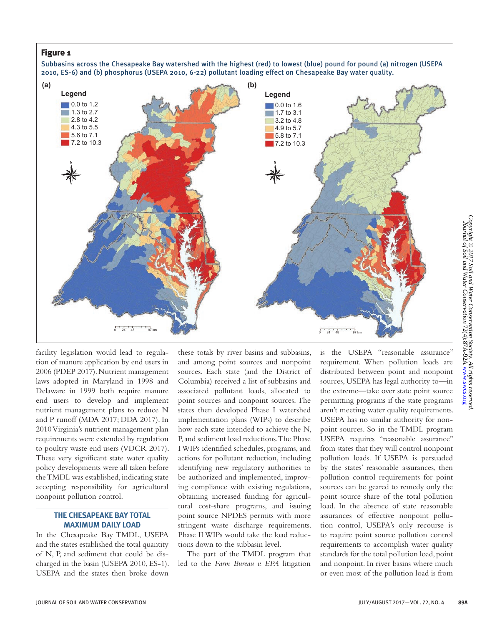# Figure 1

Subbasins across the Chesapeake Bay watershed with the highest (red) to lowest (blue) pound for pound (a) nitrogen (USEPA 2010, ES-6) and (b) phosphorus (USEPA 2010, 6-22) pollutant loading effect on Chesapeake Bay water quality.



facility legislation would lead to regulation of manure application by end users in 2006 (PDEP 2017). Nutrient management laws adopted in Maryland in 1998 and Delaware in 1999 both require manure end users to develop and implement nutrient management plans to reduce N and P runoff (MDA 2017; DDA 2017). In 2010 Virginia's nutrient management plan requirements were extended by regulation to poultry waste end users (VDCR 2017). These very significant state water quality policy developments were all taken before the TMDL was established, indicating state accepting responsibility for agricultural nonpoint pollution control.

### **THE CHESAPEAKE BAY TOTAL MAXIMUM DAILY LOAD**

In the Chesapeake Bay TMDL, USEPA and the states established the total quantity of N, P, and sediment that could be discharged in the basin (USEPA 2010, ES-1). USEPA and the states then broke down

these totals by river basins and subbasins, and among point sources and nonpoint sources. Each state (and the District of Columbia) received a list of subbasins and associated pollutant loads, allocated to point sources and nonpoint sources. The states then developed Phase I watershed implementation plans (WIPs) to describe how each state intended to achieve the N, P, and sediment load reductions. The Phase I WIPs identified schedules, programs, and actions for pollutant reduction, including identifying new regulatory authorities to be authorized and implemented, improving compliance with existing regulations, obtaining increased funding for agricultural cost-share programs, and issuing point source NPDES permits with more stringent waste discharge requirements. Phase II WIPs would take the load reductions down to the subbasin level.

The part of the TMDL program that led to the *Farm Bureau v. EPA* litigation

is the USEPA "reasonable assurance" requirement. When pollution loads are distributed between point and nonpoint sources, USEPA has legal authority to—in the extreme—take over state point source permitting programs if the state programs aren't meeting water quality requirements. USEPA has no similar authority for nonpoint sources. So in the TMDL program USEPA requires "reasonable assurance" from states that they will control nonpoint pollution loads. If USEPA is persuaded by the states' reasonable assurances, then pollution control requirements for point sources can be geared to remedy only the point source share of the total pollution load. In the absence of state reasonable assurances of effective nonpoint pollution control, USEPA's only recourse is to require point source pollution control requirements to accomplish water quality standards for the total pollution load, point and nonpoint. In river basins where much or even most of the pollution load is from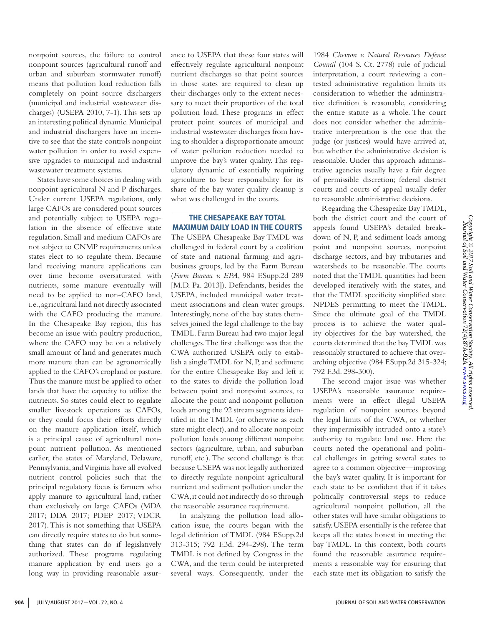nonpoint sources, the failure to control nonpoint sources (agricultural runoff and urban and suburban stormwater runoff) means that pollution load reduction falls completely on point source dischargers (municipal and industrial wastewater discharges) (USEPA 2010, 7-1). This sets up an interesting political dynamic. Municipal and industrial dischargers have an incentive to see that the state controls nonpoint water pollution in order to avoid expensive upgrades to municipal and industrial wastewater treatment systems.

States have some choices in dealing with nonpoint agricultural N and P discharges. Under current USEPA regulations, only large CAFOs are considered point sources and potentially subject to USEPA regulation in the absence of effective state regulation. Small and medium CAFOs are not subject to CNMP requirements unless states elect to so regulate them. Because land receiving manure applications can over time become oversaturated with nutrients, some manure eventually will need to be applied to non-CAFO land, i.e., agricultural land not directly associated with the CAFO producing the manure. In the Chesapeake Bay region, this has become an issue with poultry production, where the CAFO may be on a relatively small amount of land and generates much more manure than can be agronomically applied to the CAFO's cropland or pasture. Thus the manure must be applied to other lands that have the capacity to utilize the nutrients. So states could elect to regulate smaller livestock operations as CAFOs, or they could focus their efforts directly on the manure application itself, which is a principal cause of agricultural nonpoint nutrient pollution. As mentioned earlier, the states of Maryland, Delaware, Pennsylvania, and Virginia have all evolved nutrient control policies such that the principal regulatory focus is farmers who apply manure to agricultural land, rather than exclusively on large CAFOs (MDA 2017; DDA 2017; PDEP 2017; VDCR 2017). This is not something that USEPA can directly require states to do but something that states can do if legislatively authorized. These programs regulating manure application by end users go a long way in providing reasonable assurance to USEPA that these four states will effectively regulate agricultural nonpoint nutrient discharges so that point sources in those states are required to clean up their discharges only to the extent necessary to meet their proportion of the total pollution load. These programs in effect protect point sources of municipal and industrial wastewater discharges from having to shoulder a disproportionate amount of water pollution reduction needed to improve the bay's water quality. This regulatory dynamic of essentially requiring agriculture to bear responsibility for its share of the bay water quality cleanup is what was challenged in the courts.

# **THE CHESAPEAKE BAY TOTAL MAXIMUM DAILY LOAD IN THE COURTS**

The USEPA Chesapeake Bay TMDL was challenged in federal court by a coalition of state and national farming and agribusiness groups, led by the Farm Bureau (*Farm Bureau v. EPA*, 984 F.Supp.2d 289 [M.D. Pa. 2013]). Defendants, besides the USEPA, included municipal water treatment associations and clean water groups. Interestingly, none of the bay states themselves joined the legal challenge to the bay TMDL. Farm Bureau had two major legal challenges. The first challenge was that the CWA authorized USEPA only to establish a single TMDL for N, P, and sediment for the entire Chesapeake Bay and left it to the states to divide the pollution load between point and nonpoint sources, to allocate the point and nonpoint pollution loads among the 92 stream segments identified in the TMDL (or otherwise as each state might elect), and to allocate nonpoint pollution loads among different nonpoint sectors (agriculture, urban, and suburban runoff, etc.). The second challenge is that because USEPA was not legally authorized to directly regulate nonpoint agricultural nutrient and sediment pollution under the CWA, it could not indirectly do so through the reasonable assurance requirement.

In analyzing the pollution load allocation issue, the courts began with the legal definition of TMDL (984 F.Supp.2d 313-315; 792 F.3d. 294-298). The term TMDL is not defined by Congress in the CWA, and the term could be interpreted several ways. Consequently, under the 1984 *Chevron v. Natural Resources Defense Council* (104 S. Ct. 2778) rule of judicial interpretation, a court reviewing a contested administrative regulation limits its consideration to whether the administrative definition is reasonable, considering the entire statute as a whole. The court does not consider whether the administrative interpretation is the one that the judge (or justices) would have arrived at, but whether the administrative decision is reasonable. Under this approach administrative agencies usually have a fair degree of permissible discretion; federal district courts and courts of appeal usually defer to reasonable administrative decisions.

Regarding the Chesapeake Bay TMDL, both the district court and the court of appeals found USEPA's detailed breakdown of N, P, and sediment loads among point and nonpoint sources, nonpoint discharge sectors, and bay tributaries and watersheds to be reasonable. The courts noted that the TMDL quantities had been developed iteratively with the states, and that the TMDL specificity simplified state NPDES permitting to meet the TMDL. Since the ultimate goal of the TMDL process is to achieve the water quality objectives for the bay watershed, the courts determined that the bay TMDL was reasonably structured to achieve that overarching objective (984 F.Supp.2d 315-324; 792 F.3d. 298-300).

The second major issue was whether USEPA's reasonable assurance requirements were in effect illegal USEPA regulation of nonpoint sources beyond the legal limits of the CWA, or whether they impermissibly intruded onto a state's authority to regulate land use. Here the courts noted the operational and political challenges in getting several states to agree to a common objective—improving the bay's water quality. It is important for each state to be confident that if it takes politically controversial steps to reduce agricultural nonpoint pollution, all the other states will have similar obligations to satisfy. USEPA essentially is the referee that keeps all the states honest in meeting the bay TMDL. In this context, both courts found the reasonable assurance requirements a reasonable way for ensuring that each state met its obligation to satisfy the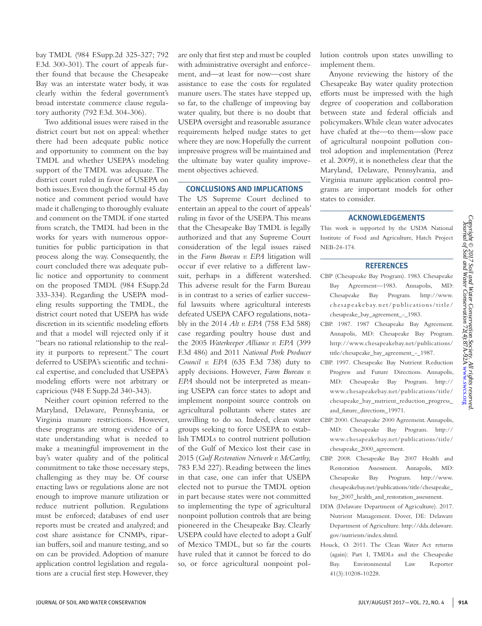bay TMDL (984 F.Supp.2d 325-327; 792 F.3d. 300-301). The court of appeals further found that because the Chesapeake Bay was an interstate water body, it was clearly within the federal government's broad interstate commerce clause regulatory authority (792 F.3d. 304-306).

Two additional issues were raised in the district court but not on appeal: whether there had been adequate public notice and opportunity to comment on the bay TMDL and whether USEPA's modeling support of the TMDL was adequate. The district court ruled in favor of USEPA on both issues. Even though the formal 45 day notice and comment period would have made it challenging to thoroughly evaluate and comment on the TMDL if one started from scratch, the TMDL had been in the works for years with numerous opportunities for public participation in that process along the way. Consequently, the court concluded there was adequate public notice and opportunity to comment on the proposed TMDL (984 F.Supp.2d 333-334). Regarding the USEPA modeling results supporting the TMDL, the district court noted that USEPA has wide discretion in its scientific modeling efforts and that a model will rejected only if it "bears no rational relationship to the reality it purports to represent." The court deferred to USEPA's scientific and technical expertise, and concluded that USEPA's modeling efforts were not arbitrary or capricious (948 F. Supp.2d 340-343).

Neither court opinion referred to the Maryland, Delaware, Pennsylvania, or Virginia manure restrictions. However, these programs are strong evidence of a state understanding what is needed to make a meaningful improvement in the bay's water quality and of the political commitment to take those necessary steps, challenging as they may be. Of course enacting laws or regulations alone are not enough to improve manure utilization or reduce nutrient pollution. Regulations must be enforced; databases of end user reports must be created and analyzed; and cost share assistance for CNMPs, riparian buffers, soil and manure testing, and so on can be provided. Adoption of manure application control legislation and regulations are a crucial first step. However, they

are only that first step and must be coupled with administrative oversight and enforcement, and—at least for now—cost share assistance to ease the costs for regulated manure users. The states have stepped up, so far, to the challenge of improving bay water quality, but there is no doubt that USEPA oversight and reasonable assurance requirements helped nudge states to get where they are now. Hopefully the current impressive progress will be maintained and the ultimate bay water quality improvement objectives achieved.

#### **CONCLUSIONS AND IMPLICATIONS**

The US Supreme Court declined to entertain an appeal to the court of appeals' ruling in favor of the USEPA. This means that the Chesapeake Bay TMDL is legally authorized and that any Supreme Court consideration of the legal issues raised in the *Farm Bureau v. EPA* litigation will occur if ever relative to a different lawsuit, perhaps in a different watershed. This adverse result for the Farm Bureau is in contrast to a series of earlier successful lawsuits where agricultural interests defeated USEPA CAFO regulations, notably in the 2014 *Alt v. EPA* (758 F.3d 588) case regarding poultry house dust and the 2005 *Waterkeeper Alliance v. EPA* (399 F.3d 486) and 2011 *National Pork Producer Council v. EPA* (635 F.3d 738) duty to apply decisions. However, *Farm Bureau v. EPA* should not be interpreted as meaning USEPA can force states to adopt and implement nonpoint source controls on agricultural pollutants where states are unwilling to do so. Indeed, clean water groups seeking to force USEPA to establish TMDLs to control nutrient pollution of the Gulf of Mexico lost their case in 2015 (*Gulf Restoration Network v. McCarthy,* 783 F.3d 227). Reading between the lines in that case, one can infer that USEPA elected not to pursue the TMDL option in part because states were not committed to implementing the type of agricultural nonpoint pollution controls that are being pioneered in the Chesapeake Bay. Clearly USEPA could have elected to adopt a Gulf of Mexico TMDL, but so far the courts have ruled that it cannot be forced to do so, or force agricultural nonpoint pollution controls upon states unwilling to implement them.

Anyone reviewing the history of the Chesapeake Bay water quality protection efforts must be impressed with the high degree of cooperation and collaboration between state and federal officials and policymakers. While clean water advocates have chafed at the—to them—slow pace of agricultural nonpoint pollution control adoption and implementation (Perez et al. 2009), it is nonetheless clear that the Maryland, Delaware, Pennsylvania, and Virginia manure application control programs are important models for other states to consider.

#### **ACKNOWLEDGEMENTS**

This work is supported by the USDA National Institute of Food and Agriculture, Hatch Project NEB-24-174.

#### **REFERENCES**

- CBP (Chesapeake Bay Program). 1983. Chesapeake Bay Agreement—1983. Annapolis, MD: Chesapeake Bay Program. http://www. chesapeakebay.net/publications/title/ chesapeake\_bay\_agreement\_-\_1983.
- CBP. 1987. 1987 Chesapeake Bay Agreement. Annapolis, MD: Chesapeake Bay Program. http://www.chesapeakebay.net/publications/ title/chesapeake\_bay\_agreement\_-\_1987.
- CBP. 1997. Chesapeake Bay Nutrient Reduction Progress and Future Directions. Annapolis, MD: Chesapeake Bay Program. http:// www.chesapeakebay.net/publications/title/ chesapeake\_bay\_nutrient\_reduction\_progress\_ and\_future\_directions\_19971.
- CBP. 2000. Chesapeake 2000 Agreement. Annapolis, MD: Chesapeake Bay Program. http:// www.chesapeakebay.net/publications/title/ chesapeake\_2000\_agreement.
- CBP. 2008. Chesapeake Bay 2007 Health and Restoration Assessment. Annapolis, MD: Chesapeake Bay Program. http://www. chesapeakebay.net/publications/title/chesapeake\_ bay\_2007\_health\_and\_restoration\_assessment.
- DDA (Delaware Department of Agriculture). 2017. Nutrient Management. Dover, DE: Delaware Department of Agriculture. http://dda.delaware. gov/nutrients/index.shtml.
- Houck, O. 2011. The Clean Water Act returns (again): Part I, TMDLs and the Chesapeake Bay. Environmental Law Reporter 41(3):10208-10228.